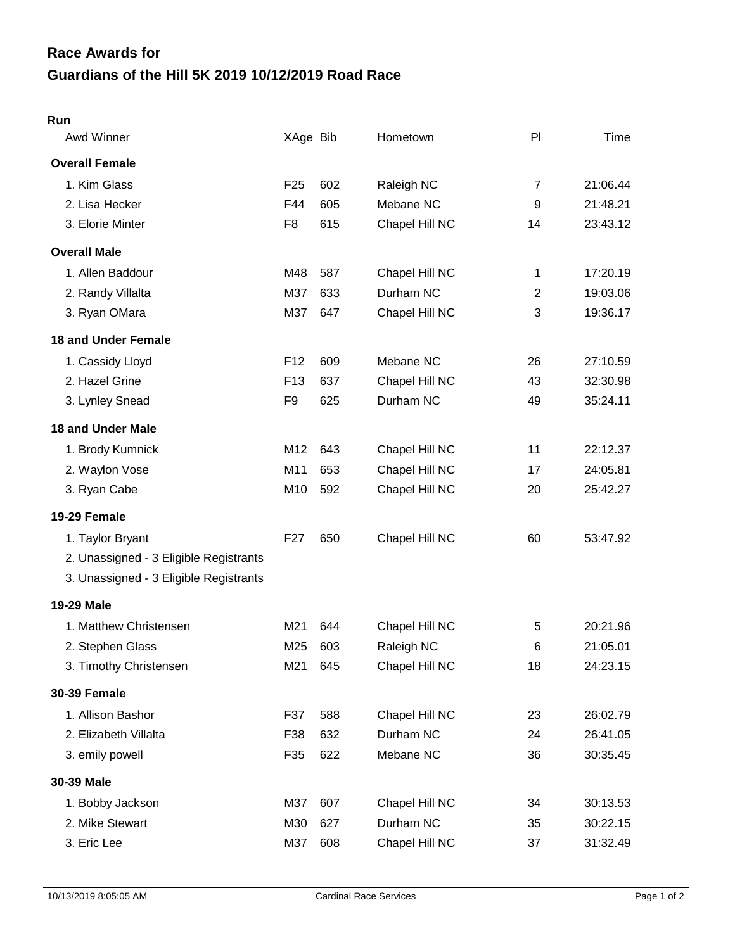## **Guardians of the Hill 5K 2019 10/12/2019 Road Race Race Awards for**

## **Run**

| Awd Winner                             | XAge Bib        |     | Hometown       | PI             | Time     |
|----------------------------------------|-----------------|-----|----------------|----------------|----------|
| <b>Overall Female</b>                  |                 |     |                |                |          |
| 1. Kim Glass                           | F <sub>25</sub> | 602 | Raleigh NC     | 7              | 21:06.44 |
| 2. Lisa Hecker                         | F44             | 605 | Mebane NC      | 9              | 21:48.21 |
| 3. Elorie Minter                       | F <sub>8</sub>  | 615 | Chapel Hill NC | 14             | 23:43.12 |
| <b>Overall Male</b>                    |                 |     |                |                |          |
| 1. Allen Baddour                       | M48             | 587 | Chapel Hill NC | 1              | 17:20.19 |
| 2. Randy Villalta                      | M37             | 633 | Durham NC      | $\overline{2}$ | 19:03.06 |
| 3. Ryan OMara                          | M37             | 647 | Chapel Hill NC | 3              | 19:36.17 |
| <b>18 and Under Female</b>             |                 |     |                |                |          |
| 1. Cassidy Lloyd                       | F <sub>12</sub> | 609 | Mebane NC      | 26             | 27:10.59 |
| 2. Hazel Grine                         | F <sub>13</sub> | 637 | Chapel Hill NC | 43             | 32:30.98 |
| 3. Lynley Snead                        | F <sub>9</sub>  | 625 | Durham NC      | 49             | 35:24.11 |
| <b>18 and Under Male</b>               |                 |     |                |                |          |
| 1. Brody Kumnick                       | M12             | 643 | Chapel Hill NC | 11             | 22:12.37 |
| 2. Waylon Vose                         | M11             | 653 | Chapel Hill NC | 17             | 24:05.81 |
| 3. Ryan Cabe                           | M10             | 592 | Chapel Hill NC | 20             | 25:42.27 |
| 19-29 Female                           |                 |     |                |                |          |
| 1. Taylor Bryant                       | F <sub>27</sub> | 650 | Chapel Hill NC | 60             | 53:47.92 |
| 2. Unassigned - 3 Eligible Registrants |                 |     |                |                |          |
| 3. Unassigned - 3 Eligible Registrants |                 |     |                |                |          |
| <b>19-29 Male</b>                      |                 |     |                |                |          |
| 1. Matthew Christensen                 | M21             | 644 | Chapel Hill NC | 5              | 20:21.96 |
| 2. Stephen Glass                       | M25             | 603 | Raleigh NC     | 6              | 21:05.01 |
| 3. Timothy Christensen                 | M21             | 645 | Chapel Hill NC | 18             | 24:23.15 |
| <b>30-39 Female</b>                    |                 |     |                |                |          |
| 1. Allison Bashor                      | F37             | 588 | Chapel Hill NC | 23             | 26:02.79 |
| 2. Elizabeth Villalta                  | F38             | 632 | Durham NC      | 24             | 26:41.05 |
| 3. emily powell                        | F35             | 622 | Mebane NC      | 36             | 30:35.45 |
| 30-39 Male                             |                 |     |                |                |          |
| 1. Bobby Jackson                       | M37             | 607 | Chapel Hill NC | 34             | 30:13.53 |
| 2. Mike Stewart                        | M30             | 627 | Durham NC      | 35             | 30:22.15 |
| 3. Eric Lee                            | M37             | 608 | Chapel Hill NC | 37             | 31:32.49 |